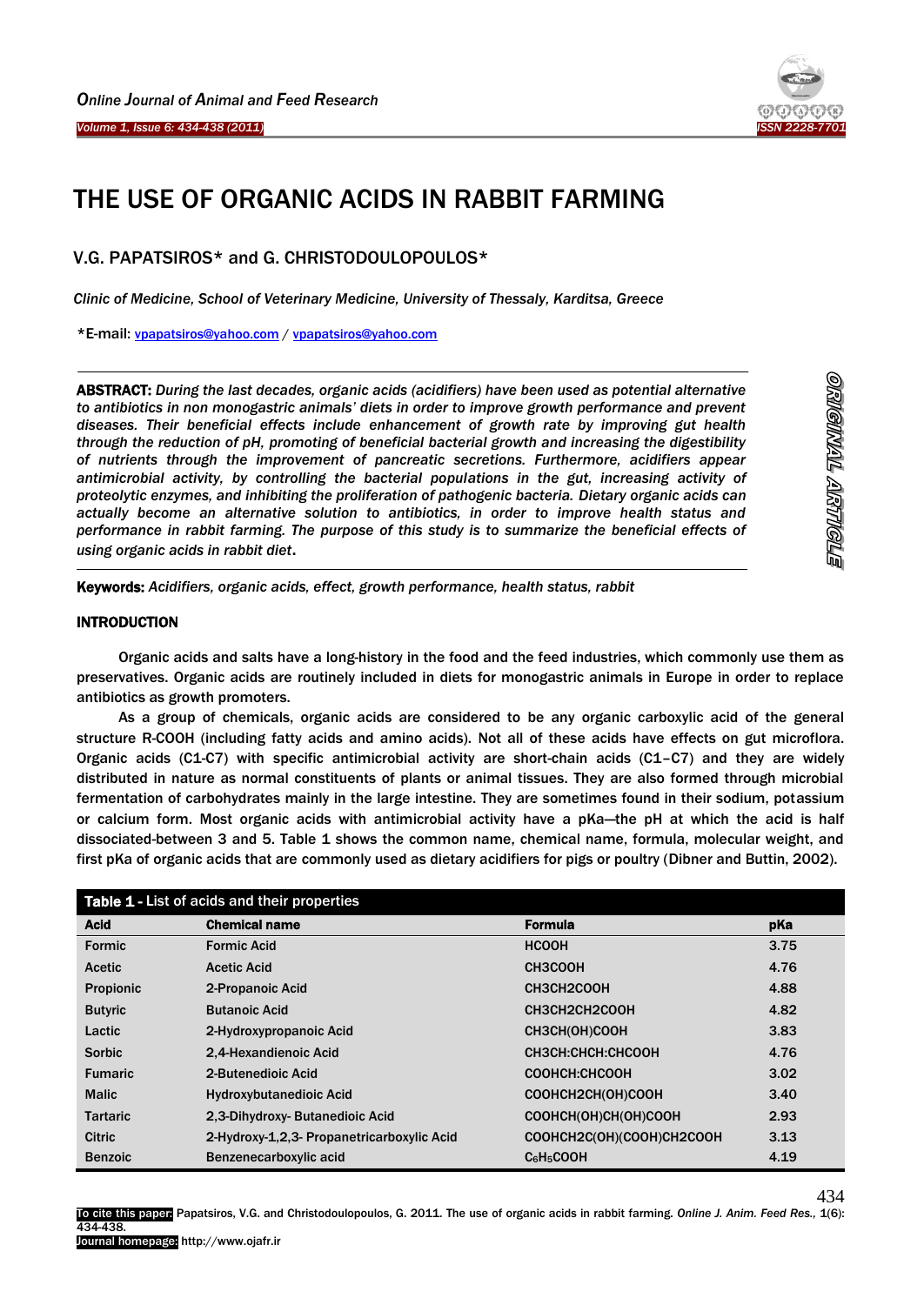

# THE USE OF ORGANIC ACIDS IN RABBIT FARMING

V.G. PAPATSIROS\* and G. CHRISTODOULOPOULOS\*

*Clinic of Medicine, School of Veterinary Medicine, University of Thessaly, Karditsa, Greece*

\*E-mail: [vpapatsiros@yahoo.com](mailto:vpapatsiros@yahoo.com) / [vpapatsiros@yahoo.com](mailto:vpapatsiros@yahoo.com)

ABSTRACT: *During the last decades, organic acids (acidifiers) have been used as potential alternative to antibiotics in non monogastric animals' diets in order to improve growth performance and prevent diseases. Their beneficial effects include enhancement of growth rate by improving gut health through the reduction of pH, promoting of beneficial bacterial growth and increasing the digestibility of nutrients through the improvement of pancreatic secretions. Furthermore, acidifiers appear antimicrobial activity, by controlling the bacterial populations in the gut, increasing activity of proteolytic enzymes, and inhibiting the proliferation of pathogenic bacteria. Dietary organic acids can actually become an alternative solution to antibiotics, in order to improve health status and performance in rabbit farming. The purpose of this study is to summarize the beneficial effects of using organic acids in rabbit diet*.

-Keywords: *Acidifiers, organic acids, effect, growth performance, health status, rabbit*

#### INTRODUCTION

Ï

1

Organic acids and salts have a long-history in the food and the feed industries, which commonly use them as preservatives. Organic acids are routinely included in diets for monogastric animals in Europe in order to replace antibiotics as growth promoters.

As a group of chemicals, organic acids are considered to be any organic carboxylic acid of the general structure R-COOH (including fatty acids and amino acids). Not all of these acids have effects on gut microflora. Organic acids (C1-C7) with specific antimicrobial activity are short-chain acids (C1–C7) and they are widely distributed in nature as normal constituents of plants or animal tissues. They are also formed through microbial fermentation of carbohydrates mainly in the large intestine. They are sometimes found in their sodium, potassium or calcium form. Most organic acids with antimicrobial activity have a pKa—the pH at which the acid is half dissociated-between 3 and 5. Table 1 shows the common name, chemical name, formula, molecular weight, and first pKa of organic acids that are commonly used as dietary acidifiers for pigs or poultry (Dibner and Buttin, 2002).

| Table 1 - List of acids and their properties |                                            |                                    |      |
|----------------------------------------------|--------------------------------------------|------------------------------------|------|
| <b>Acid</b>                                  | <b>Chemical name</b>                       | Formula                            | pKa  |
| Formic                                       | <b>Formic Acid</b>                         | <b>HCOOH</b>                       | 3.75 |
| <b>Acetic</b>                                | <b>Acetic Acid</b>                         | CH3COOH                            | 4.76 |
| <b>Propionic</b>                             | 2-Propanoic Acid                           | CH3CH2COOH                         | 4.88 |
| <b>Butyric</b>                               | <b>Butanoic Acid</b>                       | CH3CH2CH2COOH                      | 4.82 |
| Lactic                                       | 2-Hydroxypropanoic Acid                    | CH3CH(OH)COOH                      | 3.83 |
| <b>Sorbic</b>                                | 2.4-Hexandienoic Acid                      | CH3CH:CHCH:CHCOOH                  | 4.76 |
| <b>Fumaric</b>                               | 2-Butenedioic Acid                         | COOHCH:CHCOOH                      | 3.02 |
| <b>Malic</b>                                 | <b>Hydroxybutanedioic Acid</b>             | COOHCH2CH(OH)COOH                  | 3.40 |
| <b>Tartaric</b>                              | 2.3-Dihydroxy-Butanedioic Acid             | COOHCH(OH)CH(OH)COOH               | 2.93 |
| <b>Citric</b>                                | 2-Hydroxy-1,2,3- Propanetricarboxylic Acid | COOHCH2C(OH)(COOH)CH2COOH          | 3.13 |
| <b>Benzoic</b>                               | Benzenecarboxylic acid                     | C <sub>6</sub> H <sub>5</sub> COOH | 4.19 |

434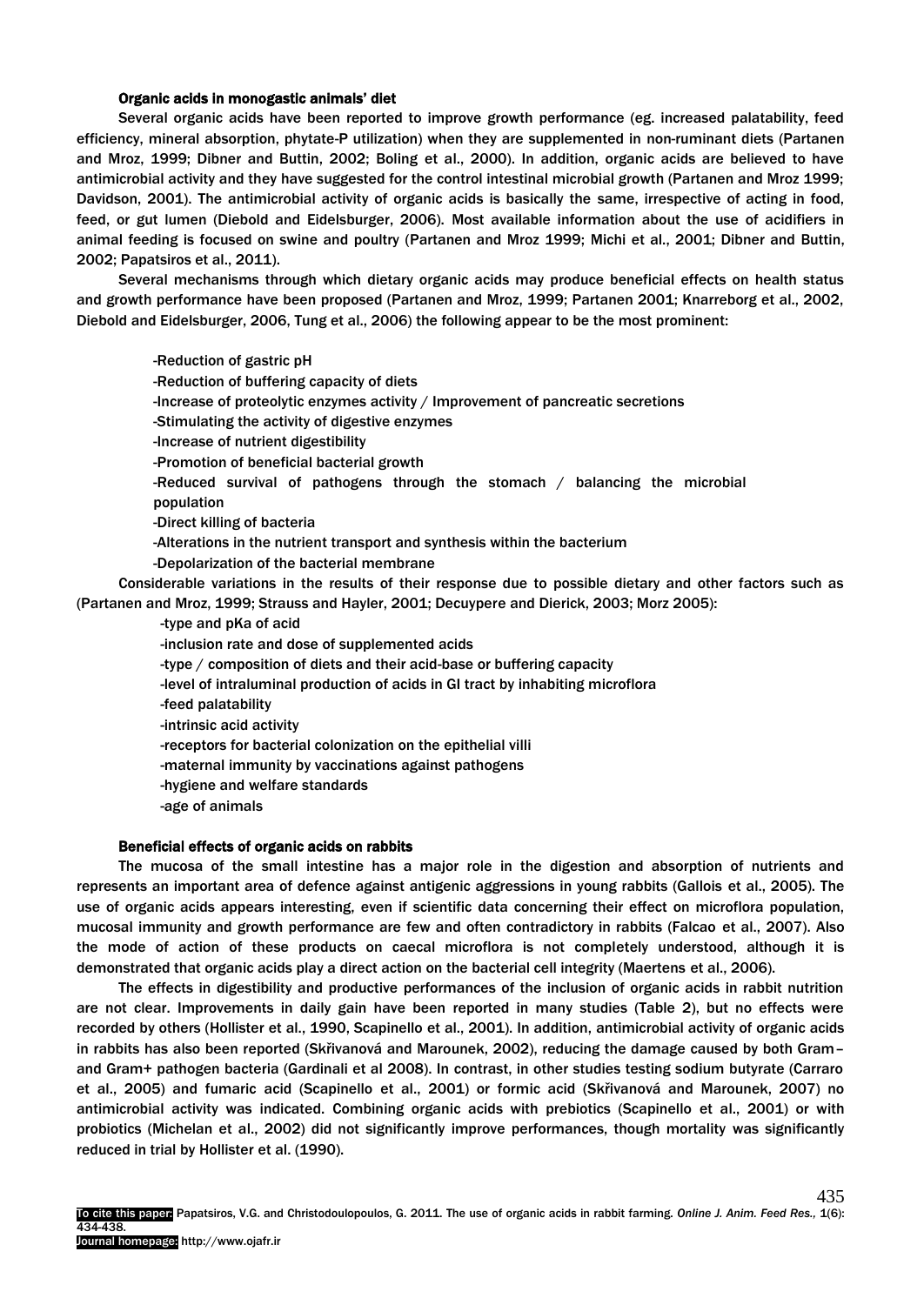#### Organic acids in monogastic animals' diet

Several organic acids have been reported to improve growth performance (eg. increased palatability, feed efficiency, mineral absorption, phytate-P utilization) when they are supplemented in non-ruminant diets (Partanen and Mroz, 1999; Dibner and Buttin, 2002; Boling et al., 2000). In addition, organic acids are believed to have antimicrobial activity and they have suggested for the control intestinal microbial growth (Partanen and Mroz 1999; Davidson, 2001). The antimicrobial activity of organic acids is basically the same, irrespective of acting in food, feed, or gut lumen (Diebold and Eidelsburger, 2006). Most available information about the use of acidifiers in animal feeding is focused on swine and poultry (Partanen and Mroz 1999; Michi et al., 2001; Dibner and Buttin, 2002; Papatsiros et al., 2011).

Several mechanisms through which dietary organic acids may produce beneficial effects on health status and growth performance have been proposed (Partanen and Mroz, 1999; Partanen 2001; Knarreborg et al., 2002, Diebold and Eidelsburger, 2006, Tung et al., 2006) the following appear to be the most prominent:

-Reduction of gastric pH -Reduction of buffering capacity of diets -Increase of proteolytic enzymes activity / Improvement of pancreatic secretions -Stimulating the activity of digestive enzymes -Increase of nutrient digestibility -Promotion of beneficial bacterial growth -Reduced survival of pathogens through the stomach / balancing the microbial population -Direct killing of bacteria -Alterations in the nutrient transport and synthesis within the bacterium -Depolarization of the bacterial membrane Considerable variations in the results of their response due to possible dietary and other factors such as (Partanen and Mroz, 1999; Strauss and Hayler, 2001; Decuypere and Dierick, 2003; Morz 2005): -type and pKa of acid -inclusion rate and dose of supplemented acids -type / composition of diets and their acid-base or buffering capacity -level of intraluminal production of acids in GI tract by inhabiting microflora -feed palatability -intrinsic acid activity -receptors for bacterial colonization on the epithelial villi -maternal immunity by vaccinations against pathogens -hygiene and welfare standards

-age of animals

### Beneficial effects of organic acids on rabbits

The mucosa of the small intestine has a major role in the digestion and absorption of nutrients and represents an important area of defence against antigenic aggressions in young rabbits (Gallois et al., 2005). The use of organic acids appears interesting, even if scientific data concerning their effect on microflora population, mucosal immunity and growth performance are few and often contradictory in rabbits (Falcao et al., 2007). Also the mode of action of these products on caecal microflora is not completely understood, although it is demonstrated that organic acids play a direct action on the bacterial cell integrity (Maertens et al., 2006).

The effects in digestibility and productive performances of the inclusion of organic acids in rabbit nutrition are not clear. Improvements in daily gain have been reported in many studies (Table 2), but no effects were recorded by others (Hollister et al., 1990, Scapinello et al., 2001). In addition, antimicrobial activity of organic acids in rabbits has also been reported (Skřivanová and Marounek, 2002), reducing the damage caused by both Gram– and Gram+ pathogen bacteria (Gardinali et al 2008). In contrast, in other studies testing sodium butyrate (Carraro et al., 2005) and fumaric acid (Scapinello et al., 2001) or formic acid (Skřivanová and Marounek, 2007) no antimicrobial activity was indicated. Combining organic acids with prebiotics (Scapinello et al., 2001) or with probiotics (Michelan et al., 2002) did not significantly improve performances, though mortality was significantly reduced in trial by Hollister et al. (1990).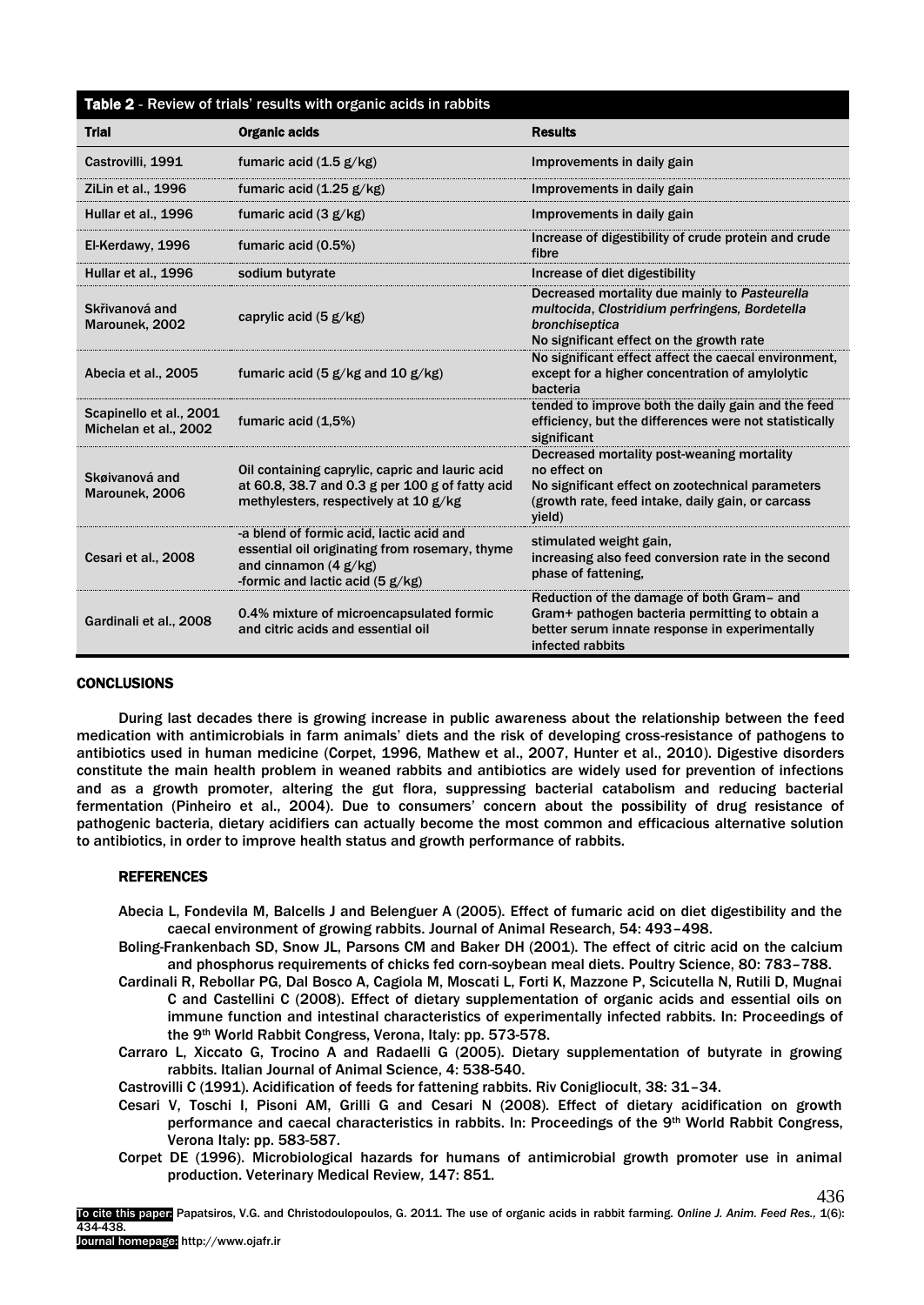| Table 2 - Review of trials' results with organic acids in rabbits |                                                                                                                                                             |                                                                                                                                                                               |  |
|-------------------------------------------------------------------|-------------------------------------------------------------------------------------------------------------------------------------------------------------|-------------------------------------------------------------------------------------------------------------------------------------------------------------------------------|--|
| <b>Trial</b>                                                      | <b>Organic acids</b>                                                                                                                                        | <b>Results</b>                                                                                                                                                                |  |
| Castrovilli, 1991                                                 | fumaric acid $(1.5 \text{ g/kg})$                                                                                                                           | Improvements in daily gain                                                                                                                                                    |  |
| ZiLin et al., 1996                                                | fumaric acid $(1.25 \text{ g/kg})$                                                                                                                          | Improvements in daily gain                                                                                                                                                    |  |
| Hullar et al., 1996                                               | fumaric acid $(3 g/kg)$                                                                                                                                     | Improvements in daily gain                                                                                                                                                    |  |
| El-Kerdawy, 1996                                                  | fumaric acid (0.5%)                                                                                                                                         | Increase of digestibility of crude protein and crude<br>fibre                                                                                                                 |  |
| Hullar et al., 1996                                               | sodium butyrate                                                                                                                                             | Increase of diet digestibility                                                                                                                                                |  |
| Skřivanová and<br>Marounek, 2002                                  | caprylic acid $(5 g/kg)$                                                                                                                                    | Decreased mortality due mainly to Pasteurella<br>multocida, Clostridium perfringens, Bordetella<br>bronchiseptica<br>No significant effect on the growth rate                 |  |
| Abecia et al., 2005                                               | fumaric acid $(5 g/kg$ and 10 $g/kg$ )                                                                                                                      | No significant effect affect the caecal environment.<br>except for a higher concentration of amylolytic<br>bacteria                                                           |  |
| Scapinello et al., 2001<br>Michelan et al., 2002                  | fumaric acid (1,5%)                                                                                                                                         | tended to improve both the daily gain and the feed<br>efficiency, but the differences were not statistically<br>significant                                                   |  |
| Skøivanová and<br>Marounek, 2006                                  | Oil containing caprylic, capric and lauric acid<br>at 60.8, 38.7 and 0.3 g per 100 g of fatty acid<br>methylesters, respectively at 10 g/kg                 | Decreased mortality post-weaning mortality<br>no effect on<br>No significant effect on zootechnical parameters<br>(growth rate, feed intake, daily gain, or carcass<br>yield) |  |
| Cesari et al., 2008                                               | -a blend of formic acid, lactic acid and<br>essential oil originating from rosemary, thyme<br>and cinnamon $(4 g/kg)$<br>-formic and lactic acid $(5 g/kg)$ | stimulated weight gain,<br>increasing also feed conversion rate in the second<br>phase of fattening.                                                                          |  |
| Gardinali et al., 2008                                            | 0.4% mixture of microencapsulated formic<br>and citric acids and essential oil                                                                              | Reduction of the damage of both Gram- and<br>Gram+ pathogen bacteria permitting to obtain a<br>better serum innate response in experimentally<br>infected rabbits             |  |

# **CONCLUSIONS**

During last decades there is growing increase in public awareness about the relationship between the feed medication with antimicrobials in farm animals' diets and the risk of developing cross-resistance of pathogens to antibiotics used in human medicine (Corpet, 1996, Mathew et al., 2007, Hunter et al., 2010). Digestive disorders constitute the main health problem in weaned rabbits and antibiotics are widely used for prevention of infections and as a growth promoter, altering the gut flora, suppressing bacterial catabolism and reducing bacterial fermentation (Pinheiro et al., 2004). Due to consumers' concern about the possibility of drug resistance of pathogenic bacteria, dietary acidifiers can actually become the most common and efficacious alternative solution to antibiotics, in order to improve health status and growth performance of rabbits.

## REFERENCES

- Abecia L, Fondevila M, Balcells J and Belenguer A (2005). Effect of fumaric acid on diet digestibility and the caecal environment of growing rabbits. Journal of Animal Research, 54: 493–498.
- Boling-Frankenbach SD, Snow JL, Parsons CM and Baker DH (2001). The effect of citric acid on the calcium and phosphorus requirements of chicks fed corn-soybean meal diets. Poultry Science, 80: 783–788.
- Cardinali R, Rebollar PG, Dal Bosco A, Cagiola M, Moscati L, Forti K, Mazzone P, Scicutella N, Rutili D, Mugnai C and Castellini C (2008). Effect of dietary supplementation of organic acids and essential oils on immune function and intestinal characteristics of experimentally infected rabbits. In: Proceedings of the 9th World Rabbit Congress, Verona, Italy: pp. 573-578.
- Carraro L, Xiccato G, Trocino A and Radaelli G (2005). Dietary supplementation of butyrate in growing rabbits. Italian Journal of Animal Science, 4: 538-540.

Castrovilli C (1991). Acidification of feeds for fattening rabbits. Riv Conigliocult, 38: 31–34.

- Cesari V, Toschi I, Pisoni AM, Grilli G and Cesari N (2008). Effect of dietary acidification on growth performance and caecal characteristics in rabbits. In: Proceedings of the 9th World Rabbit Congress, Verona Italy: pp. 583-587.
- Corpet DE (1996). Microbiological hazards for humans of antimicrobial growth promoter use in animal production. Veterinary Medical Review*,* 147: 851.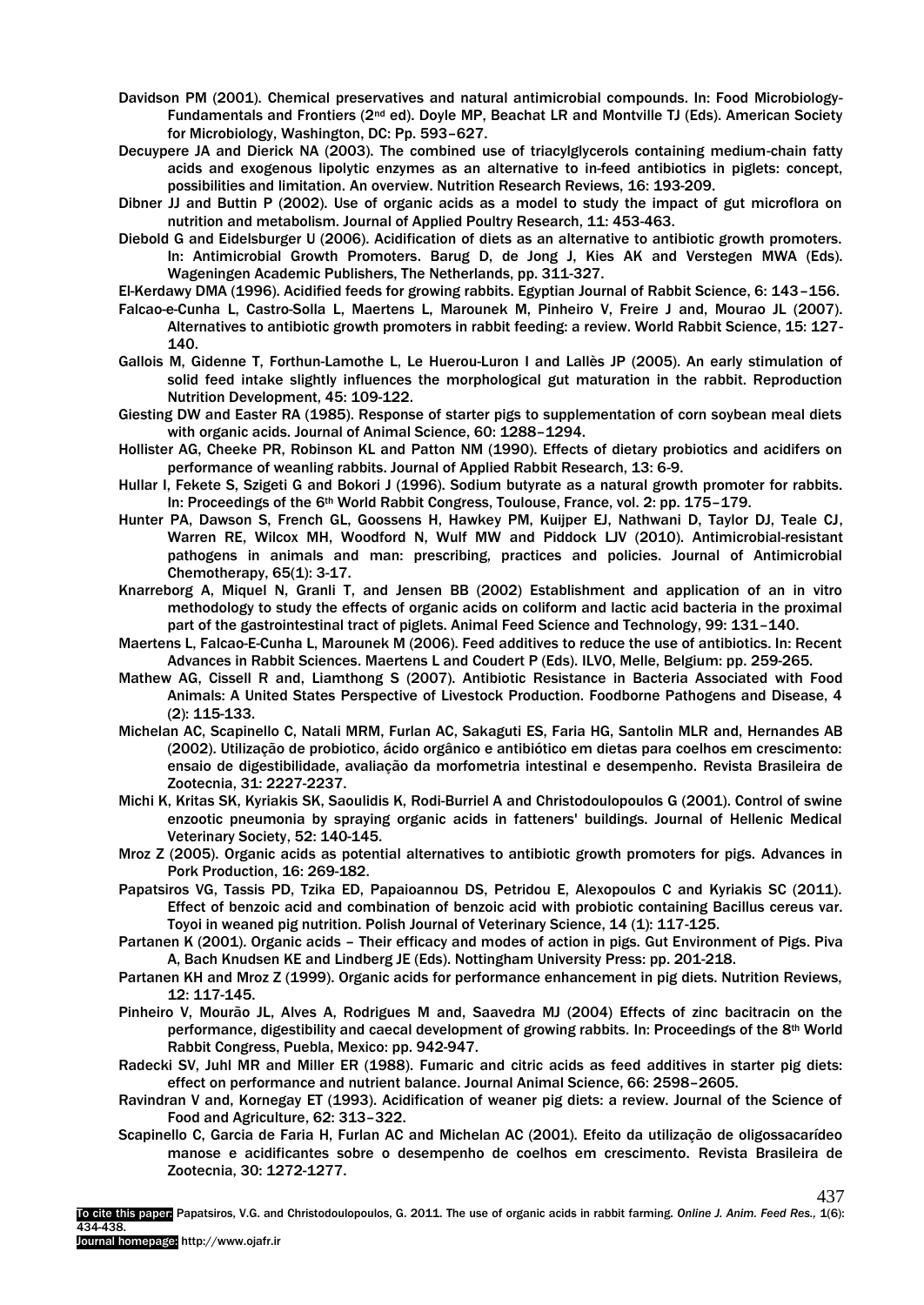- Davidson PM (2001). Chemical preservatives and natural antimicrobial compounds. In: Food Microbiology-Fundamentals and Frontiers (2nd ed). Doyle MP, Beachat LR and Montville TJ (Eds). American Society for Microbiology, Washington, DC: Pp. 593–627.
- Decuypere JA and Dierick NA (2003). The combined use of triacylglycerols containing medium-chain fatty acids and exogenous lipolytic enzymes as an alternative to in-feed antibiotics in piglets: concept, possibilities and limitation. An overview. Nutrition Research Reviews, 16: 193-209.
- Dibner JJ and Buttin P (2002). Use of organic acids as a model to study the impact of gut microflora on nutrition and metabolism. Journal of Applied Poultry Research, 11: 453-463.
- Diebold G and Eidelsburger U (2006). Acidification of diets as an alternative to antibiotic growth promoters. In: Antimicrobial Growth Promoters. Barug D, de Jong J, Kies AK and Verstegen MWA (Eds). Wageningen Academic Publishers, The Netherlands, pp. 311-327.
- El-Kerdawy DMA (1996). Acidified feeds for growing rabbits. Egyptian Journal of Rabbit Science, 6: 143–156.
- Falcao-e-Cunha L, Castro-Solla L, Maertens L, Marounek M, Pinheiro V, Freire J and, Mourao JL (2007). Alternatives to antibiotic growth promoters in rabbit feeding: a review. World Rabbit Science, 15: 127- 140.
- Gallois M, Gidenne T, Forthun-Lamothe L, Le Huerou-Luron I and Lallès JP (2005). An early stimulation of solid feed intake slightly influences the morphological gut maturation in the rabbit. Reproduction Nutrition Development, 45: 109-122.
- Giesting DW and Easter RA (1985). Response of starter pigs to supplementation of corn soybean meal diets with organic acids. Journal of Animal Science, 60: 1288–1294.
- Hollister AG, Cheeke PR, Robinson KL and Patton NM (1990). Effects of dietary probiotics and acidifers on performance of weanling rabbits. Journal of Applied Rabbit Research, 13: 6-9.
- Hullar I, Fekete S, Szigeti G and Bokori J (1996). Sodium butyrate as a natural growth promoter for rabbits. In: Proceedings of the 6<sup>th</sup> World Rabbit Congress, Toulouse, France, vol. 2: pp. 175-179.
- Hunter PA, Dawson S, French GL, Goossens H, Hawkey PM, Kuijper EJ, Nathwani D, Taylor DJ, Teale CJ, Warren RE, Wilcox MH, Woodford N, Wulf MW and Piddock LJV (2010). Antimicrobial-resistant pathogens in animals and man: prescribing, practices and policies. Journal of Antimicrobial Chemotherapy, 65(1): 3-17.
- Knarreborg A, Miquel N, Granli T, and Jensen BB (2002) Establishment and application of an in vitro methodology to study the effects of organic acids on coliform and lactic acid bacteria in the proximal part of the gastrointestinal tract of piglets. Animal Feed Science and Technology, 99: 131–140.
- Maertens L, Falcao-E-Cunha L, Marounek M (2006). Feed additives to reduce the use of antibiotics. In: Recent Advances in Rabbit Sciences. Maertens L and Coudert P (Eds). ILVO, Melle, Belgium: pp. 259-265.
- Mathew AG, Cissell R and, Liamthong S (2007). Antibiotic Resistance in Bacteria Associated with Food Animals: A United States Perspective of Livestock Production. Foodborne Pathogens and Disease, 4 (2): 115-133.
- Michelan AC, Scapinello C, Natali MRM, Furlan AC, Sakaguti ES, Faria HG, Santolin MLR and, Hernandes AB (2002). Utilização de probiotico, ácido orgânico e antibiótico em dietas para coelhos em crescimento: ensaio de digestibilidade, avaliação da morfometria intestinal e desempenho. Revista Brasileira de Zootecnia, 31: 2227-2237.
- Michi K, Kritas SK, Kyriakis SK, Saoulidis Κ, Rodi-Burriel A and Christodoulopoulos G (2001). Control of swine enzootic pneumonia by spraying organic acids in fatteners' buildings. Journal of Hellenic Medical Veterinary Society, 52: 140-145.
- Mroz Z (2005). Organic acids as potential alternatives to antibiotic growth promoters for pigs. Advances in Pork Production, 16: 269-182.
- Papatsiros VG, Tassis PD, Tzika ED, Papaioannou DS, Petridou E, Alexopoulos C and Kyriakis SC (2011). Effect of benzoic acid and combination of benzoic acid with probiotic containing Bacillus cereus var. Τoyoi in weaned pig nutrition. Polish Journal of Veterinary Science, 14 (1): 117-125.
- Partanen K (2001). Organic acids Their efficacy and modes of action in pigs. Gut Environment of Pigs. Piva A, Bach Knudsen KE and Lindberg JE (Eds). Nottingham University Press: pp. 201-218.
- Partanen KH and Mroz Z (1999). Organic acids for performance enhancement in pig diets. Nutrition Reviews, 12: 117-145.
- Pinheiro V, Mourão JL, Alves A, Rodrigues M and, Saavedra MJ (2004) Effects of zinc bacitracin on the performance, digestibility and caecal development of growing rabbits. In: Proceedings of the 8th World Rabbit Congress, Puebla, Mexico: pp. 942-947.
- Radecki SV, Juhl MR and Miller ER (1988). Fumaric and citric acids as feed additives in starter pig diets: effect on performance and nutrient balance. Journal Animal Science, 66: 2598–2605.
- Ravindran V and, Kornegay ET (1993). Acidification of weaner pig diets: a review. Journal of the Science of Food and Agriculture, 62: 313–322.
- Scapinello C, Garcia de Faria H, Furlan AC and Michelan AC (2001). Efeito da utilização de oligossacarídeo manose e acidificantes sobre o desempenho de coelhos em crescimento. Revista Brasileira de Zootecnia, 30: 1272-1277.